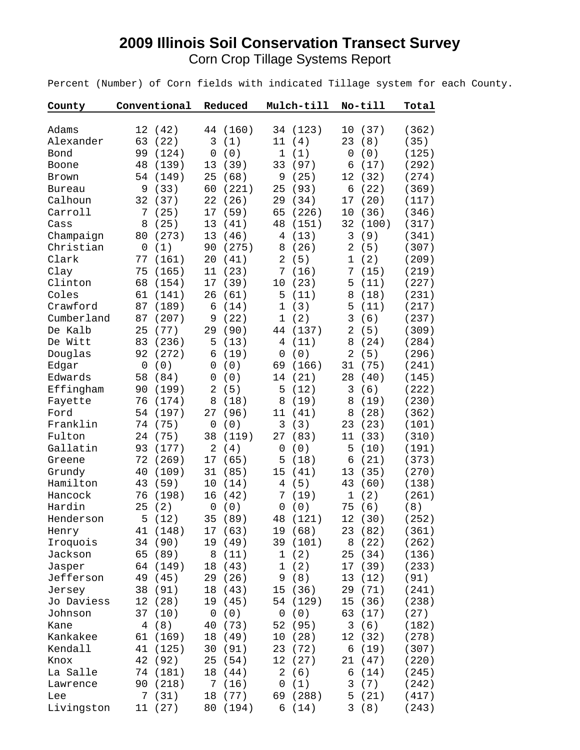## **2009 Illinois Soil Conservation Transect Survey** Corn Crop Tillage Systems Report

Percent (Number) of Corn fields with indicated Tillage system for each County.

| County       | Conventional       | Reduced               | Mulch-till             | No-till               | Total |
|--------------|--------------------|-----------------------|------------------------|-----------------------|-------|
|              |                    |                       |                        |                       |       |
| Adams        | 12<br>(42)         | (160)<br>44           | 34<br>(123)            | (37)<br>10            | (362) |
| Alexander    | 63<br>(22)         | (1)<br>3              | 11<br>(4)              | (8)<br>23             | (35)  |
| Bond         | 99<br>(124)        | (0)<br>0              | $\mathbf 1$<br>(1)     | (0)<br>$\mathsf 0$    | (125) |
| Boone        | 48<br>(139)        | 13<br>(39)            | 33<br>(97)             | (17)<br>6             | (292) |
| <b>Brown</b> | 54<br>(149)        | 25<br>(68)            | $\mathsf 9$<br>(25)    | (32)<br>12            | (274) |
| Bureau       | (33)<br>9          | 60<br>(221)           | (93)<br>25             | (22)<br>6             | (369) |
| Calhoun      | 32<br>(37)         | 22<br>(26)            | (34)<br>29             | (20)<br>17            | (117) |
| Carroll      | (25)<br>7          | (59)<br>17            | 65<br>(226)            | (36)<br>10            | (346) |
| Cass         | 8<br>(25)          | 13<br>(41)            | 48<br>(151)            | 32<br>(100)           | (317) |
| Champaign    | 80<br>(273)        | 13<br>(46)            | (13)<br>$\overline{4}$ | 3<br>(9)              | (341) |
| Christian    | (1)<br>0           | 90<br>(275)           | (26)<br>8              | (5)<br>$\overline{2}$ | (307) |
| Clark        | (161)<br>77        | 20<br>(41)            | $\overline{2}$<br>(5)  | (2)<br>1              | (209) |
| Clay         | 75<br>(165)        | 11<br>(23)            | 7<br>(16)              | (15)<br>7             | (219) |
| Clinton      | 68<br>(154)        | 17<br>(39)            | (23)<br>10             | (11)<br>5             | (227) |
| Coles        | 61<br>(141)        | 26<br>(61)            | 5<br>(11)              | 8<br>(18)             | (231) |
| Crawford     | 87<br>(189)        | 6<br>(14)             | $\mathbf{1}$<br>(3)    | (11)<br>5             | (217) |
| Cumberland   | 87<br>(207)        | (22)<br>9             | $\mathbf 1$<br>(2)     | 3<br>(6)              | (237) |
| De Kalb      | 25<br>(77)         | (90)<br>29            | 44<br>(137)            | $\overline{2}$<br>(5) | (309) |
| De Witt      | (236)<br>83        | (13)<br>5             | (11)<br>4              | (24)<br>8             | (284) |
| Douglas      | (272)<br>92        | (19)<br>6             | $\mathsf 0$<br>(0)     | (5)<br>$\overline{2}$ | (296) |
| Edgar        | (0)<br>$\mathsf 0$ | (0)<br>$\overline{0}$ | (166)<br>69            | 31<br>(75)            | (241) |
| Edwards      | 58<br>(84)         | (0)<br>$\mathbf 0$    | (21)<br>14             | 28<br>(40)            | (145) |
| Effingham    | 90<br>(199)        | $\overline{2}$<br>(5) | (12)<br>5              | (6)<br>3              | (222) |
| Fayette      | 76<br>(174)        | 8<br>(18)             | 8<br>(19)              | (19)<br>8             | (230) |
| Ford         | 54<br>(197)        | (96)<br>27            | 11<br>(41)             | (28)<br>8             | (362) |
| Franklin     | 74<br>(75)         | (0)<br>0              | 3<br>(3)               | 23<br>(23)            | (101) |
| Fulton       | 24<br>(75)         | 38<br>(119)           | 27<br>(83)             | 11<br>(33)            | (310) |
| Gallatin     | 93<br>(177)        | 2<br>(4)              | $\mathsf 0$<br>(0)     | 5<br>(10)             | (191) |
| Greene       | 72<br>(269)        | 17<br>(65)            | (18)<br>5              | (21)<br>6             | (373) |
| Grundy       | 40<br>(109)        | 31<br>(85)            | (41)<br>15             | 13<br>(35)            | (270) |
| Hamilton     | 43<br>(59)         | 10<br>(14)            | (5)<br>$\overline{4}$  | 43<br>(60)            | (138) |
| Hancock      | (198)<br>76        | (42)<br>16            | (19)<br>7              | (2)<br>$\mathbf 1$    | (261) |
| Hardin       | 25<br>(2)          | (0)<br>$\mathbf 0$    | (0)<br>$\mathsf 0$     | (6)<br>75             | (8)   |
| Henderson    | 5<br>(12)          | 35<br>(89)            | (121)<br>48            | 12<br>(30)            | (252) |
| Henry        | (148)<br>41        | (63)<br>17            | 19 (68)                | (82)<br>23            | (361) |
| Iroquois     | (90)<br>34         | 19<br>(49)            | (101)<br>39            | (22)<br>8             | (262) |
| Jackson      | 65<br>(89)         | 8<br>(11)             | (2)<br>$\mathbf 1$     | (34)<br>25            | (136) |
| Jasper       | 64<br>(149)        | (43)<br>18            | $1\,$<br>(2)           | 17<br>(39)            | (233) |
| Jefferson    | 49<br>(45)         | (26)<br>29            | (8)<br>9               | 13<br>(12)            | (91)  |
| Jersey       | 38<br>(91)         | 18<br>(43)            | (36)<br>15             | 29<br>(71)            | (241) |
| Jo Daviess   | 12<br>(28)         | 19<br>(45)            | 54<br>(129)            | 15<br>(36)            | (238) |
| Johnson      | 37<br>(10)         | (0)<br>0              | (0)<br>0               | 63<br>(17)            | (27)  |
| Kane         | (8)<br>4           | 40<br>(73)            | 52<br>(95)             | 3<br>(6)              | (182) |
| Kankakee     | 61<br>(169)        | 18<br>(49)            | 10<br>(28)             | 12<br>(32)            | (278) |
| Kendall      | 41<br>(125)        | 30<br>(91)            | 23<br>(72)             | 6<br>(19)             | (307) |
| Knox         | 42<br>(92)         | 25<br>(54)            | 12<br>(27)             | 21<br>(47)            | (220) |
| La Salle     | (181)<br>74        | 18<br>(44)            | (6)<br>2               | (14)<br>6             | (245) |
| Lawrence     | (218)<br>90        | 7<br>(16)             | $\mathsf 0$<br>(1)     | 3<br>(7)              | (242) |
| Lee          | (31)<br>7          | 18<br>(77)            | (288)<br>69            | 5<br>(21)             | (417) |
| Livingston   | (27)<br>11         | (194)<br>80           | (14)<br>6              | 3<br>(8)              | (243) |